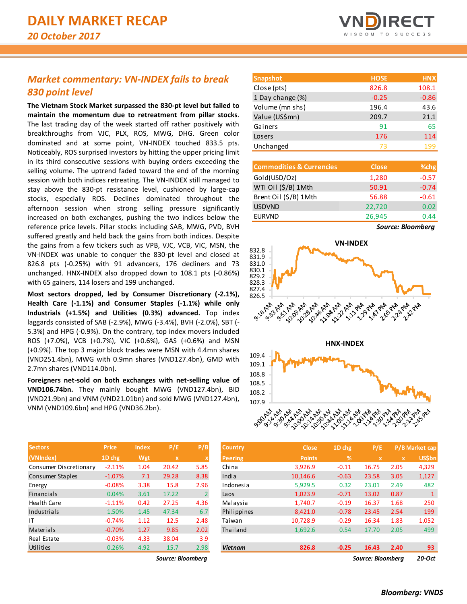# *Market commentary: VN-INDEX fails to break 830 point level*

**The Vietnam Stock Market surpassed the 830-pt level but failed to maintain the momentum due to retreatment from pillar stocks**. The last trading day of the week started off rather positively with breakthroughs from VJC, PLX, ROS, MWG, DHG. Green color dominated and at some point, VN-INDEX touched 833.5 pts. Noticeably, ROS surprised investors by hitting the upper pricing limit in its third consecutive sessions with buying orders exceeding the selling volume. The uptrend faded toward the end of the morning session with both indices retreating. The VN-INDEX still managed to stay above the 830-pt resistance level, cushioned by large-cap stocks, especially ROS. Declines dominated throughout the afternoon session when strong selling pressure significantly increased on both exchanges, pushing the two indices below the reference price levels. Pillar stocks including SAB, MWG, PVD, BVH suffered greatly and held back the gains from both indices. Despite the gains from a few tickers such as VPB, VJC, VCB, VIC, MSN, the VN-INDEX was unable to conquer the 830-pt level and closed at 826.8 pts (-0.25%) with 91 advancers, 176 decliners and 73 unchanged. HNX-INDEX also dropped down to 108.1 pts (-0.86%) with 65 gainers, 114 losers and 199 unchanged.

**Most sectors dropped, led by Consumer Discretionary (-2.1%), Health Care (-1.1%) and Consumer Staples (-1.1%) while only Industrials (+1.5%) and Utilities (0.3%) advanced.** Top index laggards consisted of SAB (-2.9%), MWG (-3.4%), BVH (-2.0%), SBT (- 5.3%) and HPG (-0.9%). On the contrary, top index movers included ROS (+7.0%), VCB (+0.7%), VIC (+0.6%), GAS (+0.6%) and MSN (+0.9%). The top 3 major block trades were MSN with 4.4mn shares (VND251.4bn), MWG with 0.9mn shares (VND127.4bn), GMD with 2.7mn shares (VND114.0bn).

**Foreigners net-sold on both exchanges with net-selling value of VND106.74bn.** They mainly bought MWG (VND127.4bn), BID (VND21.9bn) and VNM (VND21.01bn) and sold MWG (VND127.4bn), VNM (VND109.6bn) and HPG (VND36.2bn).

|  | <b>VNDIRECT</b>   |  |  |
|--|-------------------|--|--|
|  | WISDOM TO SUCCESS |  |  |

| <b>Snapshot</b>  | <b>HOSE</b> | <b>HNX</b> |
|------------------|-------------|------------|
| Close (pts)      | 826.8       | 108.1      |
| 1 Day change (%) | $-0.25$     | $-0.86$    |
| Volume (mn shs)  | 196.4       | 43.6       |
| Value (US\$mn)   | 209.7       | 21.1       |
| Gainers          | 91          | 65         |
| Losers           | 176         | 114        |
| Unchanged        | 73          | 199        |

| <b>Commodities &amp; Currencies</b> | <b>Close</b> | % <sub>chg</sub> |
|-------------------------------------|--------------|------------------|
| Gold(USD/Oz)                        | 1,280        | $-0.57$          |
| WTI Oil (\$/B) 1Mth                 | 50.91        | $-0.74$          |
| Brent Oil (\$/B) 1Mth               | 56.88        | $-0.61$          |
| <b>USDVND</b>                       | 22,720       | 0.02             |
| <b>EURVND</b>                       | 26,945       | 0.44             |

*Source: Bloomberg*



| <b>Sectors</b>         | <b>Price</b> | <b>Index</b> | P/E          | P/B            | <b>Country</b> | <b>Close</b>  | 1D chg        | P/E         |              | P/B Market cap |
|------------------------|--------------|--------------|--------------|----------------|----------------|---------------|---------------|-------------|--------------|----------------|
| (VNIndex)              | 1D chg       | Wgt          | $\mathbf{x}$ |                | Peering        | <b>Points</b> | $\frac{9}{6}$ | $\mathbf x$ | $\mathbf{x}$ | <b>US\$bn</b>  |
| Consumer Discretionary | $-2.11%$     | 1.04         | 20.42        | 5.85           | China          | 3,926.9       | $-0.11$       | 16.75       | 2.05         | 4,329          |
| Consumer Staples       | $-1.07\%$    | 7.1          | 29.28        | 8.38           | India          | 10,146.6      | $-0.63$       | 23.58       | 3.05         | 1,127          |
| Energy                 | $-0.08\%$    | 3.38         | 15.8         | 2.96           | Indonesia      | 5,929.5       | 0.32          | 23.01       | 2.49         | 482            |
| <b>Financials</b>      | 0.04%        | 3.61         | 17.22        | $\overline{2}$ | Laos           | 1,023.9       | $-0.71$       | 13.02       | 0.87         | 1              |
| <b>Health Care</b>     | $-1.11%$     | 0.42         | 27.25        | 4.36           | Malaysia       | 1,740.7       | $-0.19$       | 16.37       | 1.68         | 250            |
| Industrials            | 1.50%        | 1.45         | 47.34        | 6.7            | Philippines    | 8,421.0       | $-0.78$       | 23.45       | 2.54         | 199            |
| IT                     | $-0.74%$     | 1.12         | 12.5         | 2.48           | Taiwan         | 10,728.9      | $-0.29$       | 16.34       | 1.83         | 1,052          |
| Materials              | $-0.70%$     | 1.27         | 9.85         | 2.02           | Thailand       | 1,692.6       | 0.54          | 17.70       | 2.05         | 499            |
| Real Estate            | $-0.03%$     | 4.33         | 38.04        | 3.9            |                |               |               |             |              |                |
| Utilities              | 0.26%        | 4.92         | 15.7         | 2.98           | <b>Vietnam</b> | 826.8         | $-0.25$       | 16.43       | 2.40         | 93             |

*Source: Bloomberg Source: Bloomberg 20-Oct*

| <b>Sectors</b>         | <b>Price</b> | inaex | P/E               | <u>Р/В</u>     | Country        | <b>Close</b>  | 1D chg     | P/E               |              | P/B Market cap |
|------------------------|--------------|-------|-------------------|----------------|----------------|---------------|------------|-------------------|--------------|----------------|
| (VNIndex)              | 1D chg       | Wgt   | $\mathbf{x}$      |                | <b>Peering</b> | <b>Points</b> | $\sqrt{2}$ | $\mathbf x$       | $\mathbf{x}$ | US\$bn         |
| Consumer Discretionary | $-2.11%$     | 1.04  | 20.42             | 5.85           | China          | 3,926.9       | $-0.11$    | 16.75             | 2.05         | 4,329          |
| Consumer Staples       | $-1.07\%$    | 7.1   | 29.28             | 8.38           | India          | 10,146.6      | $-0.63$    | 23.58             | 3.05         | 1,127          |
| Energy                 | $-0.08%$     | 3.38  | 15.8              | 2.96           | Indonesia      | 5,929.5       | 0.32       | 23.01             | 2.49         | 482            |
| Financials             | 0.04%        | 3.61  | 17.22             | $\overline{2}$ | Laos           | 1,023.9       | $-0.71$    | 13.02             | 0.87         |                |
| Health Care            | $-1.11%$     | 0.42  | 27.25             | 4.36           | Malaysia       | 1.740.7       | $-0.19$    | 16.37             | 1.68         | 250            |
| Industrials            | 1.50%        | 1.45  | 47.34             | 6.7            | Philippines    | 8,421.0       | $-0.78$    | 23.45             | 2.54         | 199            |
| ΙT                     | $-0.74%$     | 1.12  | 12.5              | 2.48           | Taiwan         | 10,728.9      | $-0.29$    | 16.34             | 1.83         | 1,052          |
| Materials              | $-0.70%$     | 1.27  | 9.85              | 2.02           | Thailand       | 1,692.6       | 0.54       | 17.70             | 2.05         | 499            |
| Real Estate            | $-0.03%$     | 4.33  | 38.04             | 3.9            |                |               |            |                   |              |                |
| Utilities              | 0.26%        | 4.92  | 15.7              | 2.98           | <b>Vietnam</b> | 826.8         | $-0.25$    | 16.43             | 2.40         | 93             |
|                        |              |       | Source: Bloombera |                |                |               |            | Source: Bloombera |              | 20-Oct         |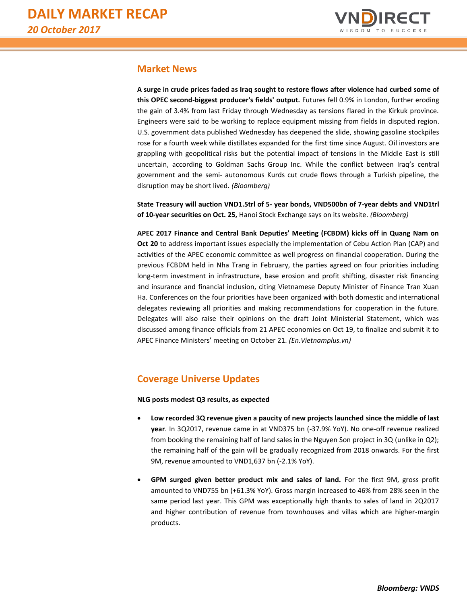

## **Market News**

**A surge in crude prices faded as Iraq sought to restore flows after violence had curbed some of this OPEC second-biggest producer's fields' output.** Futures fell 0.9% in London, further eroding the gain of 3.4% from last Friday through Wednesday as tensions flared in the Kirkuk province. Engineers were said to be working to replace equipment missing from fields in disputed region. U.S. government data published Wednesday has deepened the slide, showing gasoline stockpiles rose for a fourth week while distillates expanded for the first time since August. Oil investors are grappling with geopolitical risks but the potential impact of tensions in the Middle East is still uncertain, according to Goldman Sachs Group Inc. While the conflict between Iraq's central government and the semi- autonomous Kurds cut crude flows through a Turkish pipeline, the disruption may be short lived. *(Bloomberg)*

**State Treasury will auction VND1.5trl of 5- year bonds, VND500bn of 7-year debts and VND1trl of 10-year securities on Oct. 25,** Hanoi Stock Exchange says on its website. *(Bloomberg)*

**APEC 2017 Finance and Central Bank Deputies' Meeting (FCBDM) kicks off in Quang Nam on Oct 20** to address important issues especially the implementation of Cebu Action Plan (CAP) and activities of the APEC economic committee as well progress on financial cooperation. During the previous FCBDM held in Nha Trang in February, the parties agreed on four priorities including long-term investment in infrastructure, base erosion and profit shifting, disaster risk financing and insurance and financial inclusion, citing Vietnamese Deputy Minister of Finance Tran Xuan Ha. Conferences on the four priorities have been organized with both domestic and international delegates reviewing all priorities and making recommendations for cooperation in the future. Delegates will also raise their opinions on the draft Joint Ministerial Statement, which was discussed among finance officials from 21 APEC economies on Oct 19, to finalize and submit it to APEC Finance Ministers' meeting on October 21. *(En.Vietnamplus.vn)*

## **Coverage Universe Updates**

**NLG posts modest Q3 results, as expected**

- **Low recorded 3Q revenue given a paucity of new projects launched since the middle of last year**. In 3Q2017, revenue came in at VND375 bn (-37.9% YoY). No one-off revenue realized from booking the remaining half of land sales in the Nguyen Son project in 3Q (unlike in Q2); the remaining half of the gain will be gradually recognized from 2018 onwards. For the first 9M, revenue amounted to VND1,637 bn (-2.1% YoY).
- **GPM surged given better product mix and sales of land.** For the first 9M, gross profit amounted to VND755 bn (+61.3% YoY). Gross margin increased to 46% from 28% seen in the same period last year. This GPM was exceptionally high thanks to sales of land in 2Q2017 and higher contribution of revenue from townhouses and villas which are higher-margin products.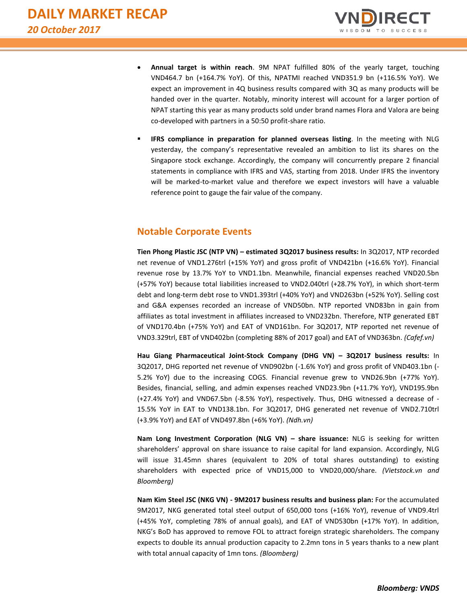

- **Annual target is within reach**. 9M NPAT fulfilled 80% of the yearly target, touching VND464.7 bn (+164.7% YoY). Of this, NPATMI reached VND351.9 bn (+116.5% YoY). We expect an improvement in 4Q business results compared with 3Q as many products will be handed over in the quarter. Notably, minority interest will account for a larger portion of NPAT starting this year as many products sold under brand names Flora and Valora are being co-developed with partners in a 50:50 profit-share ratio.
- **IFRS compliance in preparation for planned overseas listing**. In the meeting with NLG yesterday, the company's representative revealed an ambition to list its shares on the Singapore stock exchange. Accordingly, the company will concurrently prepare 2 financial statements in compliance with IFRS and VAS, starting from 2018. Under IFRS the inventory will be marked-to-market value and therefore we expect investors will have a valuable reference point to gauge the fair value of the company.

## **Notable Corporate Events**

**Tien Phong Plastic JSC (NTP VN) – estimated 3Q2017 business results:** In 3Q2017, NTP recorded net revenue of VND1.276trl (+15% YoY) and gross profit of VND421bn (+16.6% YoY). Financial revenue rose by 13.7% YoY to VND1.1bn. Meanwhile, financial expenses reached VND20.5bn (+57% YoY) because total liabilities increased to VND2.040trl (+28.7% YoY), in which short-term debt and long-term debt rose to VND1.393trl (+40% YoY) and VND263bn (+52% YoY). Selling cost and G&A expenses recorded an increase of VND50bn. NTP reported VND83bn in gain from affiliates as total investment in affiliates increased to VND232bn. Therefore, NTP generated EBT of VND170.4bn (+75% YoY) and EAT of VND161bn. For 3Q2017, NTP reported net revenue of VND3.329trl, EBT of VND402bn (completing 88% of 2017 goal) and EAT of VND363bn. *(Cafef.vn)*

**Hau Giang Pharmaceutical Joint-Stock Company (DHG VN) – 3Q2017 business results:** In 3Q2017, DHG reported net revenue of VND902bn (-1.6% YoY) and gross profit of VND403.1bn (- 5.2% YoY) due to the increasing COGS. Financial revenue grew to VND26.9bn (+77% YoY). Besides, financial, selling, and admin expenses reached VND23.9bn (+11.7% YoY), VND195.9bn (+27.4% YoY) and VND67.5bn (-8.5% YoY), respectively. Thus, DHG witnessed a decrease of - 15.5% YoY in EAT to VND138.1bn. For 3Q2017, DHG generated net revenue of VND2.710trl (+3.9% YoY) and EAT of VND497.8bn (+6% YoY). *(Ndh.vn)*

**Nam Long Investment Corporation (NLG VN) – share issuance:** NLG is seeking for written shareholders' approval on share issuance to raise capital for land expansion. Accordingly, NLG will issue 31.45mn shares (equivalent to 20% of total shares outstanding) to existing shareholders with expected price of VND15,000 to VND20,000/share. *(Vietstock.vn and Bloomberg)*

**Nam Kim Steel JSC (NKG VN) - 9M2017 business results and business plan:** For the accumulated 9M2017, NKG generated total steel output of 650,000 tons (+16% YoY), revenue of VND9.4trl (+45% YoY, completing 78% of annual goals), and EAT of VND530bn (+17% YoY). In addition, NKG's BoD has approved to remove FOL to attract foreign strategic shareholders. The company expects to double its annual production capacity to 2.2mn tons in 5 years thanks to a new plant with total annual capacity of 1mn tons. *(Bloomberg)*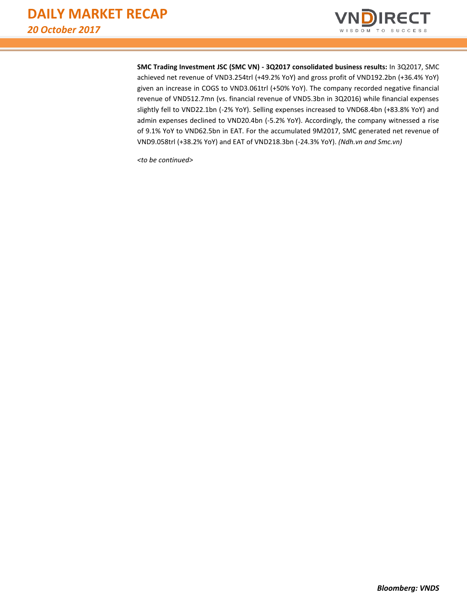

**SMC Trading Investment JSC (SMC VN) - 3Q2017 consolidated business results:** In 3Q2017, SMC achieved net revenue of VND3.254trl (+49.2% YoY) and gross profit of VND192.2bn (+36.4% YoY) given an increase in COGS to VND3.061trl (+50% YoY). The company recorded negative financial revenue of VND512.7mn (vs. financial revenue of VND5.3bn in 3Q2016) while financial expenses slightly fell to VND22.1bn (-2% YoY). Selling expenses increased to VND68.4bn (+83.8% YoY) and admin expenses declined to VND20.4bn (-5.2% YoY). Accordingly, the company witnessed a rise of 9.1% YoY to VND62.5bn in EAT. For the accumulated 9M2017, SMC generated net revenue of VND9.058trl (+38.2% YoY) and EAT of VND218.3bn (-24.3% YoY). *(Ndh.vn and Smc.vn)*

*<to be continued>*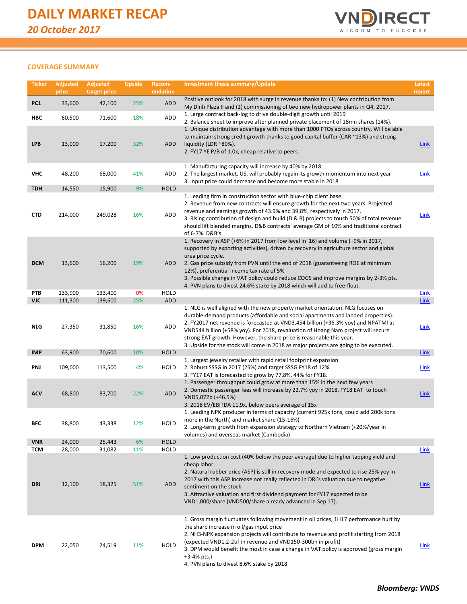

## **COVERAGE SUMMARY**

| <b>Ticker</b>            | <b>Adjusted</b><br>price | <b>Adjusted</b><br>target price | <b>Upside</b> | Recom-<br>endation  | <b>Investment thesis summary/Update</b>                                                                                                                                                                                                                                                                                                                                                                                                                                                            | Latest<br>report           |
|--------------------------|--------------------------|---------------------------------|---------------|---------------------|----------------------------------------------------------------------------------------------------------------------------------------------------------------------------------------------------------------------------------------------------------------------------------------------------------------------------------------------------------------------------------------------------------------------------------------------------------------------------------------------------|----------------------------|
| PC <sub>1</sub>          | 33,600                   | 42,100                          | 25%           | ADD                 | Positive outlook for 2018 with surge in revenue thanks to: (1) New contribution from                                                                                                                                                                                                                                                                                                                                                                                                               |                            |
| HBC                      | 60,500                   | 71,600                          | 18%           | ADD                 | My Dinh Plaza II and (2) commissioning of two new hydropower plants in Q4, 2017.<br>1. Large contract back-log to drive double-digit growth until 2019                                                                                                                                                                                                                                                                                                                                             |                            |
| <b>LPB</b>               | 13,000                   | 17,200                          | 32%           | ADD                 | 2. Balance sheet to improve after planned private placement of 18mn shares (14%).<br>1. Unique distribution advantage with more than 1000 PTOs across country. Will be able<br>to maintain strong credit growth thanks to good capital buffer (CAR ~13%) and strong<br>liquidity (LDR $^{\sim}80\%$ ).<br>2. FY17 YE P/B of 1.0x, cheap relative to peers.                                                                                                                                         | <b>Link</b>                |
| <b>VHC</b>               | 48,200                   | 68,000                          | 41%           | ADD                 | 1. Manufacturing capacity will increase by 40% by 2018<br>2. The largest market, US, will probably regain its growth momentum into next year<br>3. Input price could decrease and become more stable in 2018                                                                                                                                                                                                                                                                                       | <b>Link</b>                |
| <b>TDH</b>               | 14,550                   | 15,900                          | 9%            | <b>HOLD</b>         |                                                                                                                                                                                                                                                                                                                                                                                                                                                                                                    |                            |
| <b>CTD</b>               | 214,000                  | 249,028                         | 16%           | <b>ADD</b>          | 1. Leading firm in construction sector with blue-chip client base.<br>2. Revenue from new contracts will ensure growth for the next two years. Projected<br>revenue and earnings growth of 43.9% and 39.8%, respectively in 2017.<br>3. Rising contribution of design and build (D & B) projects to touch 50% of total revenue<br>should lift blended margins. D&B contracts' average GM of 10% and traditional contract<br>of 6-7%. D&B's                                                         | <b>Link</b>                |
| <b>DCM</b>               | 13,600                   | 16,200                          | 19%           | ADD                 | 1. Recovery in ASP (+6% in 2017 from low level in '16) and volume (+9% in 2017,<br>supported by exporting activities), driven by recovery in agriculture sector and global<br>urea price cycle.<br>2. Gas price subsidy from PVN until the end of 2018 (guaranteeing ROE at minimum<br>12%), preferential income tax rate of 5%<br>3. Possible change in VAT policy could reduce COGS and improve margins by 2-3% pts.<br>4. PVN plans to divest 24.6% stake by 2018 which will add to free-float. |                            |
| PTB                      | 133,900                  | 133,400                         | 0%            | <b>HOLD</b>         |                                                                                                                                                                                                                                                                                                                                                                                                                                                                                                    | <b>Link</b>                |
| <b>VJC</b><br><b>NLG</b> | 111,300<br>27,350        | 139,600<br>31,850               | 25%<br>16%    | ADD<br>ADD          | 1. NLG is well aligned with the new property market orientation. NLG focuses on<br>durable-demand products (affordable and social apartments and landed properties).<br>2. FY2017 net revenue is forecasted at VND3,454 billion (+36.3% yoy) and NPATMI at<br>VND544 billion (+58% yoy). For 2018, revaluation of Hoang Nam project will secure<br>strong EAT growth. However, the share price is reasonable this year.                                                                            | <b>Link</b><br><b>Link</b> |
|                          |                          |                                 |               |                     | 3. Upside for the stock will come in 2018 as major projects are going to be executed.                                                                                                                                                                                                                                                                                                                                                                                                              |                            |
| <b>IMP</b><br>PNJ        | 63,900<br>109,000        | 70,600<br>113,500               | 10%<br>4%     | <b>HOLD</b><br>HOLD | 1. Largest jewelry retailer with rapid retail footprint expansion<br>2. Robust SSSG in 2017 (25%) and target SSSG FY18 of 12%.<br>3. FY17 EAT is forecasted to grow by 77.8%, 44% for FY18.                                                                                                                                                                                                                                                                                                        | <b>Link</b><br>Link        |
| <b>ACV</b>               | 68,800                   | 83,700                          | 22%           | <b>ADD</b>          | 1. Passenger throughput could grow at more than 15% in the next few years<br>2. Domestic passenger fees will increase by 22.7% yoy in 2018, FY18 EAT to touch<br>VND5,072b (+46.5%)<br>3. 2018 EV/EBITDA 11.9x, below peers average of 15x                                                                                                                                                                                                                                                         | <b>Link</b>                |
| BFC                      | 38,800                   | 43,338                          | 12%           | HOLD                | 1. Leading NPK producer in terms of capacity (current 925k tons, could add 200k tons<br>more in the North) and market share (15-16%)<br>2. Long-term growth from expansion strategy to Northern Vietnam (+20%/year in<br>volumes) and overseas market (Cambodia)                                                                                                                                                                                                                                   |                            |
| <b>VNR</b>               | 24,000                   | 25,443                          | 6%            | <b>HOLD</b>         |                                                                                                                                                                                                                                                                                                                                                                                                                                                                                                    |                            |
| <b>TCM</b><br><b>DRI</b> | 28,000<br>12,100         | 31,082<br>18,325                | 11%<br>51%    | HOLD<br>ADD         | 1. Low production cost (40% below the peer average) due to higher tapping yield and<br>cheap labor.<br>2. Natural rubber price (ASP) is still in recovery mode and expected to rise 25% yoy in<br>2017 with this ASP increase not really reflected in DRI's valuation due to negative<br>sentiment on the stock<br>3. Attractive valuation and first dividend payment for FY17 expected to be<br>VND1,000/share (VND500/share already advanced in Sep 17).                                         | Link<br><b>Link</b>        |
| <b>DPM</b>               | 22,050                   | 24,519                          | 11%           | HOLD                | 1. Gross margin fluctuates following movement in oil prices, 1H17 performance hurt by<br>the sharp increase in oil/gas input price<br>2. NH3-NPK expansion projects will contribute to revenue and profit starting from 2018<br>(expected VND1.2-2trl in revenue and VND150-300bn in profit)<br>3. DPM would benefit the most in case a change in VAT policy is approved (gross margin<br>$+3-4%$ pts.)<br>4. PVN plans to divest 8.6% stake by 2018                                               | Link                       |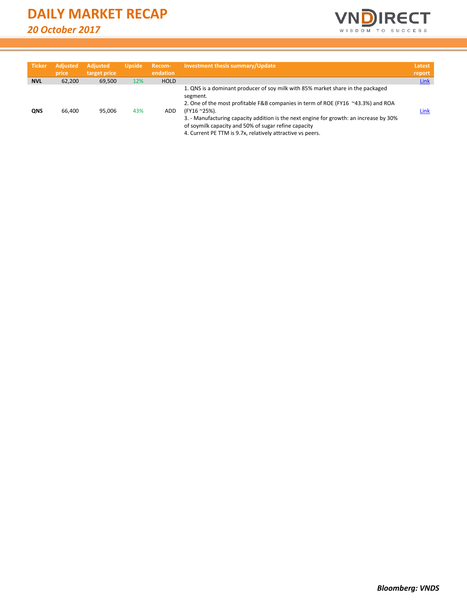

| <b>Ticker</b> | <b>Adjusted</b><br>price | <b>Adjusted</b><br>target price | <b>Upside</b> | Recom-<br>endation | Investment thesis summary/Update                                                                                                                                                                                                                                                                                                                                                                               | Latest<br>report |
|---------------|--------------------------|---------------------------------|---------------|--------------------|----------------------------------------------------------------------------------------------------------------------------------------------------------------------------------------------------------------------------------------------------------------------------------------------------------------------------------------------------------------------------------------------------------------|------------------|
| <b>NVL</b>    | 62.200                   | 69,500                          | 12%           | <b>HOLD</b>        |                                                                                                                                                                                                                                                                                                                                                                                                                | <b>Link</b>      |
| <b>ONS</b>    | 66.400                   | 95.006                          | 43%           | <b>ADD</b>         | 1. QNS is a dominant producer of soy milk with 85% market share in the packaged<br>segment.<br>2. One of the most profitable F&B companies in term of ROE (FY16 ~43.3%) and ROA<br>(FY16~25%).<br>3. - Manufacturing capacity addition is the next engine for growth: an increase by 30%<br>of soymilk capacity and 50% of sugar refine capacity<br>4. Current PE TTM is 9.7x, relatively attractive vs peers. | Link             |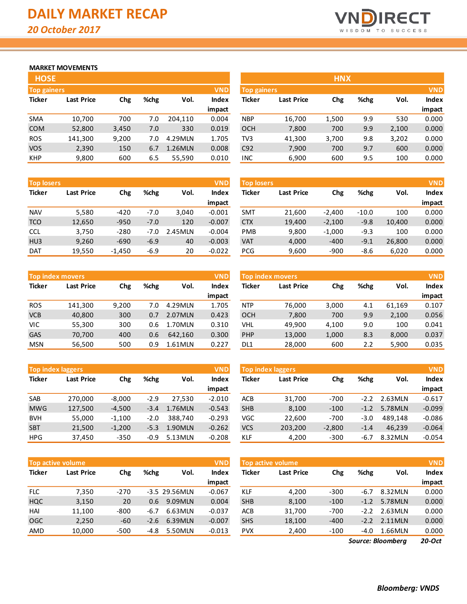

## **MARKET MOVEMENTS**

|                                  | <b>HOSE</b>       |       |      |         |              |  |  |  |  |  |
|----------------------------------|-------------------|-------|------|---------|--------------|--|--|--|--|--|
| <b>VND</b><br><b>Top gainers</b> |                   |       |      |         |              |  |  |  |  |  |
| <b>Ticker</b>                    | <b>Last Price</b> | Chg   | %chg | Vol.    | <b>Index</b> |  |  |  |  |  |
|                                  |                   |       |      |         | impact       |  |  |  |  |  |
| <b>SMA</b>                       | 10,700            | 700   | 7.0  | 204,110 | 0.004        |  |  |  |  |  |
| <b>COM</b>                       | 52,800            | 3,450 | 7.0  | 330     | 0.019        |  |  |  |  |  |
| <b>ROS</b>                       | 141,300           | 9,200 | 7.0  | 4.29MLN | 1.705        |  |  |  |  |  |
| <b>VOS</b>                       | 2,390             | 150   | 6.7  | 1.26MLN | 0.008        |  |  |  |  |  |
| <b>KHP</b>                       | 9,800             | 600   | 6.5  | 55,590  | 0.010        |  |  |  |  |  |

| <b>Top losers</b> |                   |          |        |         | <b>VND</b> | <b>Top losers</b> |                   |          |         |        | <b>VND</b> |
|-------------------|-------------------|----------|--------|---------|------------|-------------------|-------------------|----------|---------|--------|------------|
| <b>Ticker</b>     | <b>Last Price</b> | Chg      | %chg   | Vol.    | Index      | <b>Ticker</b>     | <b>Last Price</b> | Chg      | %chg    | Vol.   | Index      |
|                   |                   |          |        |         | impact     |                   |                   |          |         |        | impact     |
| <b>NAV</b>        | 5,580             | $-420$   | $-7.0$ | 3.040   | $-0.001$   | <b>SMT</b>        | 21.600            | $-2.400$ | $-10.0$ | 100    | 0.000      |
| <b>TCO</b>        | 12,650            | $-950$   | $-7.0$ | 120     | $-0.007$   | <b>CTX</b>        | 19,400            | $-2,100$ | $-9.8$  | 10.400 | 0.000      |
| <b>CCL</b>        | 3,750             | $-280$   | -7.0   | 2.45MLN | $-0.004$   | <b>PMB</b>        | 9,800             | $-1,000$ | $-9.3$  | 100    | 0.000      |
| H <sub>U3</sub>   | 9,260             | $-690$   | $-6.9$ | 40      | $-0.003$   | <b>VAT</b>        | 4.000             | $-400$   | $-9.1$  | 26.800 | 0.000      |
| <b>DAT</b>        | 19,550            | $-1,450$ | $-6.9$ | 20      | $-0.022$   | <b>PCG</b>        | 9,600             | $-900$   | $-8.6$  | 6,020  | 0.000      |

|               | <b>VND</b><br><b>Top index movers</b> |       |      |         |              |  |  |  |  |  |
|---------------|---------------------------------------|-------|------|---------|--------------|--|--|--|--|--|
| <b>Ticker</b> | <b>Last Price</b>                     | Chg   | %chg | Vol.    | <b>Index</b> |  |  |  |  |  |
|               |                                       |       |      |         | impact       |  |  |  |  |  |
| <b>ROS</b>    | 141,300                               | 9,200 | 7.0  | 4.29MLN | 1.705        |  |  |  |  |  |
| <b>VCB</b>    | 40,800                                | 300   | 0.7  | 2.07MLN | 0.423        |  |  |  |  |  |
| VIC           | 55,300                                | 300   | 0.6  | 1.70MLN | 0.310        |  |  |  |  |  |
| GAS           | 70,700                                | 400   | 0.6  | 642,160 | 0.300        |  |  |  |  |  |
| <b>MSN</b>    | 56,500                                | 500   | 0.9  | 1.61MLN | 0.227        |  |  |  |  |  |

|               | <b>VND</b><br><b>Top index laggers</b> |          |        |         |              |  |  |  |  |  |
|---------------|----------------------------------------|----------|--------|---------|--------------|--|--|--|--|--|
| <b>Ticker</b> | <b>Last Price</b>                      | Chg      | %chg   | Vol.    | <b>Index</b> |  |  |  |  |  |
|               |                                        |          |        |         | impact       |  |  |  |  |  |
| <b>SAB</b>    | 270,000                                | $-8,000$ | $-2.9$ | 27,530  | $-2.010$     |  |  |  |  |  |
| <b>MWG</b>    | 127,500                                | $-4,500$ | $-3.4$ | 1.76MLN | $-0.543$     |  |  |  |  |  |
| <b>BVH</b>    | 55,000                                 | $-1,100$ | $-2.0$ | 388,740 | $-0.293$     |  |  |  |  |  |
| <b>SBT</b>    | 21,500                                 | $-1,200$ | $-5.3$ | 1.90MLN | $-0.262$     |  |  |  |  |  |
| <b>HPG</b>    | 37,450                                 | $-350$   | $-0.9$ | 5.13MLN | $-0.208$     |  |  |  |  |  |

|               | <b>VND</b><br><b>Top active volume</b> |        |        |               |              |  |  |  |  |  |
|---------------|----------------------------------------|--------|--------|---------------|--------------|--|--|--|--|--|
| <b>Ticker</b> | <b>Last Price</b>                      | Chg    | %chg   | Vol.          | <b>Index</b> |  |  |  |  |  |
|               |                                        |        |        |               | impact       |  |  |  |  |  |
| <b>FLC</b>    | 7,350                                  | $-270$ |        | -3.5 29.56MLN | $-0.067$     |  |  |  |  |  |
| <b>HQC</b>    | 3,150                                  | 20     | 0.6    | 9.09MLN       | 0.004        |  |  |  |  |  |
| HAI           | 11,100                                 | $-800$ | $-6.7$ | 6.63MLN       | $-0.037$     |  |  |  |  |  |
| OGC           | 2,250                                  | $-60$  | $-2.6$ | 6.39MLN       | $-0.007$     |  |  |  |  |  |
| AMD           | 10,000                                 | $-500$ | -4.8   | 5.50MLN       | $-0.013$     |  |  |  |  |  |

| <b>HOSE</b>        |                   |       |      |         |              |                    |                   | <b>HNX</b> |      |       |            |
|--------------------|-------------------|-------|------|---------|--------------|--------------------|-------------------|------------|------|-------|------------|
| <b>Top gainers</b> |                   |       |      |         | <b>VND</b>   | <b>Top gainers</b> |                   |            |      |       | <b>VND</b> |
| Ticker             | <b>Last Price</b> | Chg   | %chg | Vol.    | <b>Index</b> | <b>Ticker</b>      | <b>Last Price</b> | Chg        | %chg | Vol.  | Index      |
|                    |                   |       |      |         | impact       |                    |                   |            |      |       | impact     |
| SMA                | 10,700            | 700   | 7.0  | 204.110 | 0.004        | <b>NBP</b>         | 16,700            | 1,500      | 9.9  | 530   | 0.000      |
| <b>COM</b>         | 52,800            | 3,450 | 7.0  | 330     | 0.019        | <b>OCH</b>         | 7,800             | 700        | 9.9  | 2,100 | 0.000      |
| ROS                | 141,300           | 9,200 | 7.0  | 4.29MLN | 1.705        | TV3                | 41,300            | 3,700      | 9.8  | 3,202 | 0.000      |
| <b>VOS</b>         | 2,390             | 150   | 6.7  | 1.26MLN | 0.008        | C92                | 7,900             | 700        | 9.7  | 600   | 0.000      |
| <b>KHP</b>         | 9,800             | 600   | 6.5  | 55,590  | 0.010        | INC                | 6,900             | 600        | 9.5  | 100   | 0.000      |

| <b>Top losers</b> |                   |          |        |         | <b>VND</b> | <b>Top losers</b> |                   |          |         |        | <b>VND</b> |
|-------------------|-------------------|----------|--------|---------|------------|-------------------|-------------------|----------|---------|--------|------------|
| Ticker            | <b>Last Price</b> | Chg      | %chg   | Vol.    | Index      | <b>Ticker</b>     | <b>Last Price</b> | Chg      | %chg    | Vol.   | Index      |
|                   |                   |          |        |         | impact     |                   |                   |          |         |        | impact     |
| <b>NAV</b>        | 5,580             | $-420$   | $-7.0$ | 3,040   | $-0.001$   | <b>SMT</b>        | 21,600            | $-2,400$ | $-10.0$ | 100    | 0.000      |
| TCO               | 12,650            | $-950$   | $-7.0$ | 120     | $-0.007$   | <b>CTX</b>        | 19,400            | $-2,100$ | $-9.8$  | 10.400 | 0.000      |
| CCL               | 3,750             | $-280$   | -7.0   | 2.45MLN | $-0.004$   | <b>PMB</b>        | 9,800             | $-1,000$ | $-9.3$  | 100    | 0.000      |
| HU <sub>3</sub>   | 9,260             | $-690$   | $-6.9$ | 40      | $-0.003$   | <b>VAT</b>        | 4,000             | $-400$   | $-9.1$  | 26.800 | 0.000      |
| <b>DAT</b>        | 19,550            | $-1,450$ | $-6.9$ | 20      | $-0.022$   | <b>PCG</b>        | 9,600             | $-900$   | $-8.6$  | 6,020  | 0.000      |

|            | Top index movers                         |       |       |         | <b>VND</b>        |            | <b>Top index movers</b> |       |              |        | <b>VND</b> |
|------------|------------------------------------------|-------|-------|---------|-------------------|------------|-------------------------|-------|--------------|--------|------------|
| Ticker     | %chg<br>Vol.<br><b>Last Price</b><br>Chg |       | Index | Ticker  | <b>Last Price</b> | Chg        | %chg                    | Vol.  | <b>Index</b> |        |            |
|            |                                          |       |       |         | impact            |            |                         |       |              |        | impact     |
| <b>ROS</b> | 141.300                                  | 9,200 | 7.0   | 4.29MLN | 1.705             | <b>NTP</b> | 76.000                  | 3,000 | 4.1          | 61.169 | 0.107      |
| <b>VCB</b> | 40,800                                   | 300   | 0.7   | 2.07MLN | 0.423             | <b>OCH</b> | 7,800                   | 700   | 9.9          | 2,100  | 0.056      |
| VIC        | 55,300                                   | 300   | 0.6   | 1.70MLN | 0.310             | <b>VHL</b> | 49.900                  | 4,100 | 9.0          | 100    | 0.041      |
| <b>GAS</b> | 70,700                                   | 400   | 0.6   | 642.160 | 0.300             | PHP        | 13,000                  | 1,000 | 8.3          | 8,000  | 0.037      |
| <b>MSN</b> | 56,500                                   | 500   | 0.9   | 1.61MLN | 0.227             | DL1        | 28,000                  | 600   | 2.2          | 5,900  | 0.035      |

|            | <b>Top index laggers</b><br><b>VND</b> |                     |        |         |               |                   | Top index laggers |          |        |              |          |  |
|------------|----------------------------------------|---------------------|--------|---------|---------------|-------------------|-------------------|----------|--------|--------------|----------|--|
| Ticker     | <b>Last Price</b>                      | %chg<br>Vol.<br>Chg |        | Index   | <b>Ticker</b> | <b>Last Price</b> | Chg               | %chg     | Vol.   | <b>Index</b> |          |  |
|            |                                        |                     |        |         | impact        |                   |                   |          |        |              | impact   |  |
| SAB        | 270.000                                | $-8,000$            | $-2.9$ | 27.530  | $-2.010$      | ACB               | 31,700            | $-700$   | $-2.2$ | 2.63MLN      | $-0.617$ |  |
| <b>MWG</b> | 127,500                                | $-4.500$            | $-3.4$ | 1.76MLN | $-0.543$      | <b>SHB</b>        | 8,100             | $-100$   | $-1.2$ | 5.78MLN      | $-0.099$ |  |
| <b>BVH</b> | 55,000                                 | $-1,100$            | $-2.0$ | 388.740 | $-0.293$      | VGC               | 22,600            | $-700$   | $-3.0$ | 489.148      | $-0.086$ |  |
| <b>SBT</b> | 21,500                                 | $-1,200$            | $-5.3$ | 1.90MLN | $-0.262$      | <b>VCS</b>        | 203,200           | $-2,800$ | $-1.4$ | 46.239       | $-0.064$ |  |
| <b>HPG</b> | 37,450                                 | $-350$              | -0.9   | 5.13MLN | $-0.208$      | <b>KLF</b>        | 4,200             | $-300$   | -6.7   | 8.32MLN      | $-0.054$ |  |

| <b>VND</b><br><b>Top active volume</b> |                   |                            |        |               |              | <b>Top active volume</b> |                   |        |        | <b>VND</b> |              |
|----------------------------------------|-------------------|----------------------------|--------|---------------|--------------|--------------------------|-------------------|--------|--------|------------|--------------|
| Ticker                                 | <b>Last Price</b> | %chg<br>Vol.<br><b>Chg</b> |        |               | <b>Index</b> | Ticker                   | <b>Last Price</b> | Chg    | %chg   | Vol.       | <b>Index</b> |
|                                        |                   |                            |        |               | impact       |                          |                   |        |        |            | impact       |
| <b>FLC</b>                             | 7,350             | $-270$                     |        | -3.5 29.56MLN | $-0.067$     | <b>KLF</b>               | 4,200             | $-300$ | $-6.7$ | 8.32MLN    | 0.000        |
| HQC                                    | 3,150             | 20                         | 0.6    | 9.09MLN       | 0.004        | <b>SHB</b>               | 8,100             | $-100$ | $-1.2$ | 5.78MLN    | 0.000        |
| HAI                                    | 11.100            | $-800$                     | $-6.7$ | 6.63MLN       | $-0.037$     | <b>ACB</b>               | 31,700            | $-700$ | $-2.2$ | 2.63MLN    | 0.000        |
| <b>OGC</b>                             | 2,250             | $-60$                      | $-2.6$ | 6.39MLN       | $-0.007$     | <b>SHS</b>               | 18,100            | $-400$ | $-2.2$ | 2.11MLN    | 0.000        |
| AMD                                    | 10,000            | $-500$                     | -4.8   | 5.50MLN       | $-0.013$     | <b>PVX</b>               | 2,400             | $-100$ | $-4.0$ | 1.66MLN    | 0.000        |
|                                        |                   |                            |        |               |              |                          |                   |        |        |            |              |

*20-Oct Source: Bloomberg*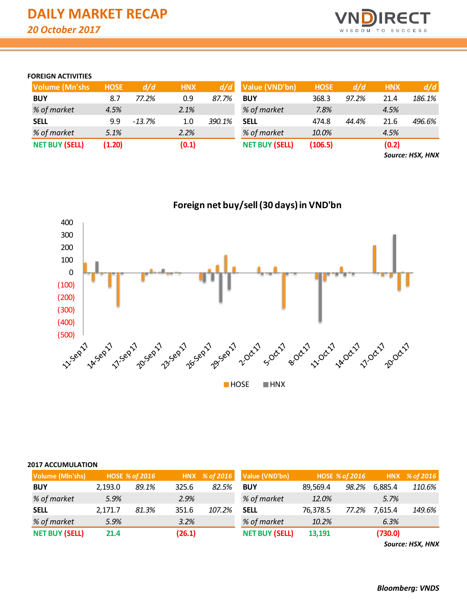

## **FOREIGN ACTIVITIES**

| <b>Volume (Mn'shs)</b> | <b>HOSE</b> | d/d      | <b>HNX</b> | d/d    | Value (VND'bn)        | <b>HOSE</b> | d/d   | <b>HNX</b> | d/d    |
|------------------------|-------------|----------|------------|--------|-----------------------|-------------|-------|------------|--------|
| <b>BUY</b>             | 8.7         | 77.2%    | 0.9        | 87.7%  | <b>BUY</b>            | 368.3       | 97.2% | 21.4       | 186.1% |
| % of market            | 4.5%        |          | 2.1%       |        | % of market           | 7.8%        |       | 4.5%       |        |
| <b>SELL</b>            | 9.9         | $-13.7%$ | 1.0        | 390.1% | <b>SELL</b>           | 474.8       | 44.4% | 21.6       | 496.6% |
| % of market            | 5.1%        |          | 2.2%       |        | % of market           | 10.0%       |       | 4.5%       |        |
| <b>NET BUY (SELL)</b>  | (1.20)      |          | (0.1)      |        | <b>NET BUY (SELL)</b> | (106.5)     |       | (0.2)      |        |

*Source: HSX, HNX*



# **Foreign net buy/sell (30 days) in VND'bn**

## **2017 ACCUMULATION**

| Volume (Mln'shs)      |         | <b>HOSE % of 2016</b> |        | HNX % of 2016 | Value (VND'bn)        |          | HOSE % of 2016 |         | HNX % of 2016 |
|-----------------------|---------|-----------------------|--------|---------------|-----------------------|----------|----------------|---------|---------------|
| <b>BUY</b>            | 2,193.0 | 89.1%                 | 325.6  | 82.5%         | <b>BUY</b>            | 89,569.4 | 98.2%          | 6,885.4 | 110.6%        |
| % of market           | 5.9%    |                       | 2.9%   |               | % of market           | 12.0%    |                | 5.7%    |               |
| <b>SELL</b>           | 2.171.7 | 81.3%                 | 351.6  | 107.2%        | <b>SELL</b>           | 76,378.5 | 77.2%          | 7,615.4 | 149.6%        |
| % of market           | 5.9%    |                       | 3.2%   |               | % of market           | 10.2%    |                | 6.3%    |               |
| <b>NET BUY (SELL)</b> | 21.4    |                       | (26.1) |               | <b>NET BUY (SELL)</b> | 13,191   |                | (730.0) |               |

*Source: HSX, HNX*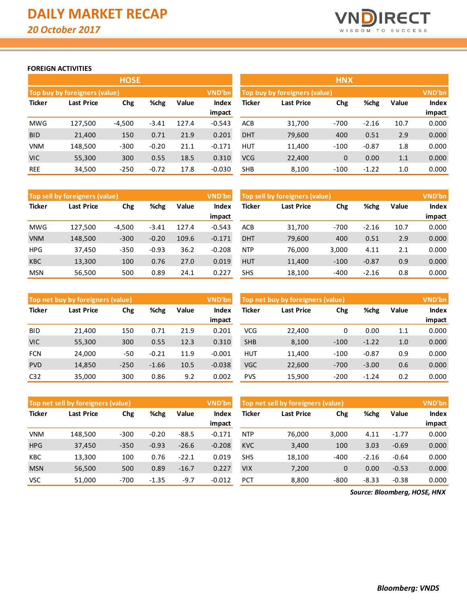

## **FOREIGN ACTIVITIES**

|               |                                           | <b>HOSE</b> |         |       |          | <b>HNX</b>    |                               |             |         |       |               |  |
|---------------|-------------------------------------------|-------------|---------|-------|----------|---------------|-------------------------------|-------------|---------|-------|---------------|--|
|               | Top buy by foreigners (value)             |             |         |       | VND'bn   |               | Top buy by foreigners (value) |             |         |       | <b>VND'bn</b> |  |
| <b>Ticker</b> | %chg<br>Value<br><b>Last Price</b><br>Chg |             |         |       | Index    | <b>Ticker</b> | <b>Last Price</b>             | Chg         | %chg    | Value | <b>Index</b>  |  |
|               |                                           |             |         |       | impact   |               |                               |             |         |       | impact        |  |
| <b>MWG</b>    | 127,500                                   | $-4,500$    | $-3.41$ | 127.4 | $-0.543$ | <b>ACB</b>    | 31,700                        | $-700$      | $-2.16$ | 10.7  | 0.000         |  |
| <b>BID</b>    | 21,400                                    | 150         | 0.71    | 21.9  | 0.201    | <b>DHT</b>    | 79,600                        | 400         | 0.51    | 2.9   | 0.000         |  |
| <b>VNM</b>    | 148,500                                   | $-300$      | $-0.20$ | 21.1  | $-0.171$ | <b>HUT</b>    | 11,400                        | $-100$      | $-0.87$ | 1.8   | 0.000         |  |
| <b>VIC</b>    | 55,300                                    | 300         | 0.55    | 18.5  | 0.310    | <b>VCG</b>    | 22,400                        | $\mathbf 0$ | 0.00    | 1.1   | 0.000         |  |
| <b>REE</b>    | 34,500                                    | $-250$      | $-0.72$ | 17.8  | $-0.030$ | <b>SHB</b>    | 8.100                         | $-100$      | $-1.22$ | 1.0   | 0.000         |  |

|               | VND'bn<br>Top sell by foreigners (value) |          |         |       |                                            |            | Top sell by foreigners (value) |        |         |       |        |
|---------------|------------------------------------------|----------|---------|-------|--------------------------------------------|------------|--------------------------------|--------|---------|-------|--------|
| <b>Ticker</b> | %chg<br>Last Price<br>Chg                |          | Value   | Index | <b>Ticker</b><br>%chg<br>Last Price<br>Chg |            |                                |        | Value   | Index |        |
|               |                                          |          |         |       | impact                                     |            |                                |        |         |       | impact |
| <b>MWG</b>    | 127.500                                  | $-4,500$ | $-3.41$ | 127.4 | $-0.543$                                   | <b>ACB</b> | 31.700                         | $-700$ | $-2.16$ | 10.7  | 0.000  |
| <b>VNM</b>    | 148,500                                  | $-300$   | $-0.20$ | 109.6 | $-0.171$                                   | <b>DHT</b> | 79,600                         | 400    | 0.51    | 2.9   | 0.000  |
| <b>HPG</b>    | 37.450                                   | $-350$   | $-0.93$ | 36.2  | $-0.208$                                   | <b>NTP</b> | 76.000                         | 3,000  | 4.11    | 2.1   | 0.000  |
| <b>KBC</b>    | 13,300                                   | 100      | 0.76    | 27.0  | 0.019                                      | <b>HUT</b> | 11,400                         | $-100$ | $-0.87$ | 0.9   | 0.000  |
| <b>MSN</b>    | 56.500                                   | 500      | 0.89    | 24.1  | 0.227                                      | <b>SHS</b> | 18,100                         | -400   | $-2.16$ | 0.8   | 0.000  |

|                 | Top net buy by foreigners (value)<br><b>VND'bn</b> |             |         |       |                 |            | Top net buy by foreigners (value) |        |         |       |                        |  |
|-----------------|----------------------------------------------------|-------------|---------|-------|-----------------|------------|-----------------------------------|--------|---------|-------|------------------------|--|
| <b>Ticker</b>   | Last Price                                         | %chg<br>Chg |         | Value | Index<br>impact | Ticker     | <b>Last Price</b>                 | Chg    | %chg    | Value | <b>Index</b><br>impact |  |
| <b>BID</b>      | 21,400                                             | 150         | 0.71    | 21.9  | 0.201           | VCG        | 22,400                            | 0      | 0.00    | 1.1   | 0.000                  |  |
| <b>VIC</b>      | 55,300                                             | 300         | 0.55    | 12.3  | 0.310           | <b>SHB</b> | 8,100                             | $-100$ | $-1.22$ | 1.0   | 0.000                  |  |
| <b>FCN</b>      | 24,000                                             | -50         | $-0.21$ | 11.9  | $-0.001$        | <b>HUT</b> | 11.400                            | $-100$ | $-0.87$ | 0.9   | 0.000                  |  |
| <b>PVD</b>      | 14,850                                             | $-250$      | $-1.66$ | 10.5  | $-0.038$        | <b>VGC</b> | 22,600                            | $-700$ | $-3.00$ | 0.6   | 0.000                  |  |
| C <sub>32</sub> | 35,000                                             | 300         | 0.86    | 9.2   | 0.002           | <b>PVS</b> | 15,900                            | $-200$ | $-1.24$ | 0.2   | 0.000                  |  |

|               | VND'bn<br>Top net sell by foreigners (value) |        |         |         |          | Top net sell by foreigners (value) |        |        |         |         | <b>VND'bn</b> |
|---------------|----------------------------------------------|--------|---------|---------|----------|------------------------------------|--------|--------|---------|---------|---------------|
| <b>Ticker</b> | %chg<br>Last Price<br>Chg                    |        | Value   | Index   | Ticker   | Chg<br>Last Price                  |        | %chg   | Value   | Index   |               |
|               |                                              |        |         |         | impact   |                                    |        |        |         |         | impact        |
| <b>VNM</b>    | 148.500                                      | $-300$ | $-0.20$ | $-88.5$ | $-0.171$ | <b>NTP</b>                         | 76,000 | 3,000  | 4.11    | $-1.77$ | 0.000         |
| <b>HPG</b>    | 37,450                                       | $-350$ | $-0.93$ | $-26.6$ | $-0.208$ | <b>KVC</b>                         | 3,400  | 100    | 3.03    | $-0.69$ | 0.000         |
| <b>KBC</b>    | 13,300                                       | 100    | 0.76    | $-22.1$ | 0.019    | <b>SHS</b>                         | 18,100 | $-400$ | $-2.16$ | $-0.64$ | 0.000         |
| <b>MSN</b>    | 56,500                                       | 500    | 0.89    | $-16.7$ | 0.227    | <b>VIX</b>                         | 7,200  | 0      | 0.00    | $-0.53$ | 0.000         |
| <b>VSC</b>    | 51,000                                       | $-700$ | $-1.35$ | $-9.7$  | $-0.012$ | <b>PCT</b>                         | 8,800  | $-800$ | $-8.33$ | $-0.38$ | 0.000         |

*Source: Bloomberg, HOSE, HNX*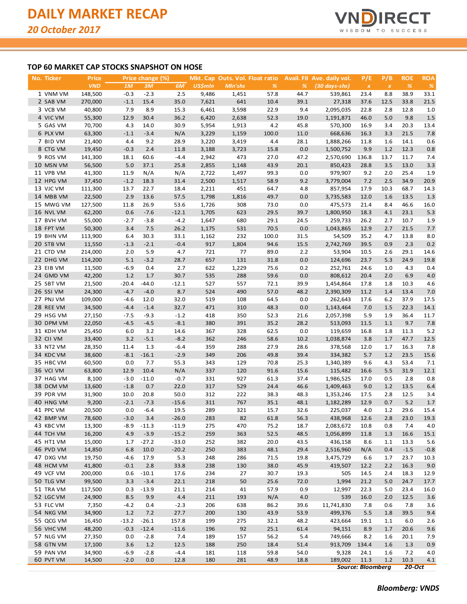

## **TOP 60 MARKET CAP STOCKS SNAPSHOT ON HOSE**

| <u>No. Ticker</u>      | Price            |                   | Price change (%) |                |                |            | Mkt. Cap Outs. Vol. Float ratio |              | <b>Avail.</b> FII Ave. daily vol. | P/E                      | P/B          | <b>ROE</b>    | <b>ROA</b>    |
|------------------------|------------------|-------------------|------------------|----------------|----------------|------------|---------------------------------|--------------|-----------------------------------|--------------------------|--------------|---------------|---------------|
|                        | <b>VND</b>       | 1M                | 3M               | 6M             | <b>US\$mln</b> | Mln'shs    | %                               | %            | $(30 \, days\text{-}shs)$         | $\pmb{\mathsf{x}}$       | $\pmb{\chi}$ | $\frac{9}{6}$ | $\frac{9}{6}$ |
| 1 VNM VM               | 148,500          | $-0.3$            | $-2.3$           | 2.5            | 9,486          | 1,451      | 57.8                            | 44.7         | 539,861                           | 23.4                     | 8.8          | 38.9          | 33.1          |
| 2 SAB VM               | 270,000          | $-1.1$            | 15.4             | 35.0           | 7,621          | 641        | 10.4                            | 39.1         | 27,318                            | 37.6                     | 12.5         | 33.8          | 21.5          |
| 3 VCB VM               | 40,800           | 7.9               | 8.9              | 15.3           | 6,461          | 3,598      | 22.9                            | 9.4          | 2,095,035                         | 22.8                     | 2.8          | 12.8          | 1.0           |
| 4 VIC VM               | 55,300           | 12.9              | 30.4             | 36.2           | 6,420          | 2,638      | 52.3                            | 19.0         | 1,191,871                         | 46.0                     | 5.0          | 9.8           | 1.5           |
| 5 GAS VM               | 70,700           | 4.3               | 14.0             | 30.9           | 5,954          | 1,913      | 4.2                             | 45.8         | 570,300                           | 16.9                     | 3.4          | 20.3          | 13.4          |
| 6 PLX VM               | 63,300           | $-1.1$            | $-3.4$           | N/A            | 3,229          | 1,159      | 100.0                           | 11.0         | 668,636                           | 16.3                     | 3.3          | 21.5          | 7.8           |
| 7 BID VM               | 21,400           | 4.4               | 9.2              | 28.9           | 3,220          | 3,419      | 4.4                             | 28.1         | 1,888,266                         | 11.8                     | 1.6          | 14.1          | 0.6           |
| 8 CTG VM               | 19,450           | $-0.3$            | 2.4              | 11.8           | 3,188          | 3,723      | 15.8                            | 0.0          | 1,500,752                         | 9.9                      | 1.2          | 12.3          | 0.8           |
| 9 ROS VM               | 141,300          | 18.1              | 60.6             | $-4.4$         | 2,942          | 473        | 27.0                            | 47.2         | 2,570,690                         | 136.8                    | 13.7         | 11.7          | 7.4           |
| 10 MSN VM              | 56,500           | 5.0               | 37.1             | 25.8           | 2,855          | 1,148      | 43.9                            | 20.1         | 850,423                           | 28.8                     | 3.5          | 13.0          | 3.3           |
| 11 VPB VM              | 41,300           | 11.9              | N/A              | N/A            | 2,722          | 1,497      | 99.3                            | 0.0          | 979,907                           | 9.2                      | 2.0          | 25.4          | 1.9           |
| 12 HPG VM              | 37,450           | $-1.2$            | 18.3             | 31.4           | 2,500          | 1,517      | 58.9                            | 9.2          | 3,779,004                         | 7.2                      | 2.5          | 34.9          | 20.9          |
| 13 VJC VM              | 111,300          | 13.7              | 22.7             | 18.4           | 2,211          | 451        | 64.7                            | 4.8          | 857,954                           | 17.9                     | 10.3         | 68.7          | 14.3          |
| 14 MBB VM              | 22,500           | 2.9               | 13.6             | 57.5           | 1,798          | 1,816      | 49.7                            | 0.0          | 3,735,583                         | 12.0                     | 1.6          | 13.5          | 1.3           |
| 15 MWG VM              | 127,500          | 11.8              | 26.9             | 53.6           | 1,726          | 308        | 73.0                            | 0.0          | 475,573                           | 21.4                     | 8.4          | 46.6          | 16.0          |
| 16 NVL VM              | 62,200           | 0.6               | $-7.6$           | $-12.1$        | 1,705          | 623        | 29.5                            | 39.7         | 1,800,950                         | 18.3                     | 4.1          | 23.1          | 5.3           |
| 17 BVH VM              | 55,000           | $-2.7$            | $-3.8$           | $-4.2$         | 1,647          | 680        | 29.1                            | 24.5         | 259,733                           | 26.2                     | 2.7          | 10.7          | 1.9           |
| 18 FPT VM              | 50,300           | 3.4               | 7.5              | 26.2           | 1,175          | 531        | 70.5                            | 0.0          | 1,043,865                         | 12.9                     | 2.7          | 21.5          | 7.7           |
| 19 BHN VM              | 113,900          | 6.4               | 30.3             | 33.1           | 1,162          | 232        | 100.0                           | 31.5         | 54,509                            | 35.2                     | 4.7          | 13.8          | 8.0           |
| 20 STB VM              | 11,550           | $-1.3$            | $-2.1$           | $-0.4$         | 917            | 1,804      | 94.6                            | 15.5         | 2,742,769                         | 39.5                     | 0.9          | 2.3           | 0.2           |
| 21 CTD VM              | 214,000          | 2.0               | 5.9              | 4.7            | 721            | 77         | 89.0                            | 2.2          | 53,904                            | 10.5                     | 2.6          | 29.1          | 14.6          |
| 22 DHG VM              | 114,200          | 5.1               | $-3.2$           | 28.7           | 657            | 131        | 31.8                            | 0.0          | 124,696                           | 23.7                     | 5.3          | 24.9          | 19.8          |
| 23 EIB VM              | 11,500           | $-6.9$<br>1.2     | 0.4              | 2.7<br>30.7    | 622<br>535     | 1,229      | 75.6                            | 0.2<br>0.0   | 252,761                           | 24.6                     | 1.0          | 4.3           | 0.4           |
| 24 GMD VM              | 42,200           |                   | 1.7              |                | 527            | 288<br>557 | 59.6                            |              | 808,612                           | 20.4                     | 2.0          | 6.9           | 4.0           |
| 25 SBT VM              | 21,500<br>24,300 | $-20.4$<br>$-4.7$ | $-44.0$          | $-12.1$<br>8.7 | 524            | 490        | 72.1<br>57.0                    | 39.9<br>48.2 | 1,454,864<br>2,390,309            | 17.8                     | 1.8          | 10.3          | 4.6           |
| 26 SSI VM<br>27 PNJ VM | 109,000          | $-4.6$            | $-4.0$<br>12.0   | 32.0           | 519            | 108        | 64.5                            | 0.0          | 262,643                           | 11.2<br>17.6             | 1.4<br>6.2   | 13.4<br>37.9  | 7.0<br>17.5   |
| 28 REE VM              | 34,500           | $-4.4$            | $-1.4$           | 32.7           | 471            | 310        | 48.3                            | 0.0          | 1,143,464                         | 7.0                      | 1.5          | 22.3          | 14.1          |
| 29 HSG VM              | 27,150           | $-7.5$            | $-9.3$           | $-1.2$         | 418            | 350        | 52.3                            | 21.6         | 2,057,398                         | 5.9                      | 1.9          | 36.4          | 11.7          |
| 30 DPM VM              | 22,050           | $-4.5$            | $-4.5$           | $-8.1$         | 380            | 391        | 35.2                            | 28.2         | 513,093                           | 11.5                     | 1.1          | 9.7           | 7.8           |
| 31 KDH VM              | 25,450           | 6.0               | 3.2              | 14.6           | 367            | 328        | 62.5                            | 0.0          | 119,659                           | 16.8                     | 1.8          | 11.3          | 5.2           |
| 32 CII VM              | 33,400           | 3.2               | $-5.1$           | $-8.2$         | 362            | 246        | 58.6                            | 10.2         | 1,038,874                         | 3.8                      | 1.7          | 47.7          | 12.5          |
| 33 NT2 VM              | 28,350           | 11.4              | 1.3              | $-6.4$         | 359            | 288        | 27.9                            | 28.6         | 378,568                           | 12.0                     | 1.7          | 16.3          | 7.8           |
| 34 KDC VM              | 38,600           | $-8.1$            | $-16.1$          | $-2.9$         | 349            | 206        | 49.8                            | 39.4         | 334,382                           | 5.7                      | 1.2          | 23.5          | 15.6          |
| 35 HBC VM              | 60,500           | 0.0               | 7.7              | 55.3           | 343            | 129        | 70.8                            | 25.3         | 1,340,389                         | 9.6                      | 4.3          | 53.4          | 7.1           |
| 36 VCI VM              | 63,800           | 12.9              | 10.4             | N/A            | 337            | 120        | 91.6                            | 15.6         | 115,482                           | 16.6                     | 5.5          | 31.9          | 12.1          |
| 37 HAG VM              | 8,100            | $-3.0$            | $-11.0$          | $-0.7$         | 331            | 927        | 61.3                            | 37.4         | 1,986,525                         | 17.0                     | 0.5          | 2.8           | 0.8           |
| 38 DCM VM              | 13,600           | $-1.8$            | 0.7              | 22.0           | 317            | 529        | 24.4                            | 46.6         | 1,409,463                         | 9.0                      | 1.2          | 13.5          | 6.4           |
| 39 PDR VM              | 31,900           | 10.0              | 20.8             | 50.0           | 312            | 222        | 38.3                            | 48.3         | 1,353,246                         | 17.5                     | 2.8          | 12.5          | 3.4           |
| 40 HNG VM              | 9,200            | $-2.1$            | $-7.3$           | $-15.6$        | 311            | 767        | 35.1                            | 48.1         | 1,182,289                         | 12.9                     | 0.7          | 5.2           | 1.7           |
| 41 PPC VM              | 20,500           | 0.0               | $-6.4$           | 19.5           | 289            | 321        | 15.7                            | 32.6         | 225,037                           | 4.0                      | 1.2          | 29.6          | 15.4          |
| 42 BMP VM              | 78,600           | $-3.0$            | 3.4              | $-26.0$        | 283            | 82         | 61.8                            | 56.3         | 438,968                           | 12.6                     | 2.8          | 23.0          | 19.3          |
| 43 KBC VM              | 13,300           | -8.9              | $-11.3$          | $-11.9$        | 275            | 470        | 75.2                            | 18.7         | 2,083,672                         | 10.8                     | 0.8          | 7.4           | 4.0           |
| 44 TCH VM              | 16,200           | 4.9               | $-3.9$           | $-15.2$        | 259            | 363        | 52.5                            | 48.5         | 1,056,899                         | 11.8                     | 1.3          | 16.6          | 15.1          |
| 45 HT1 VM              | 15,000           | 1.7               | $-27.2$          | $-33.0$        | 252            | 382        | 20.0                            | 43.5         | 436,158                           | 8.6                      | 1.1          | 13.3          | 5.6           |
| 46 PVD VM              | 14,850           | 6.8               | 10.0             | $-20.2$        | 250            | 383        | 48.1                            | 29.4         | 2,516,960                         | N/A                      | 0.4          | $-1.5$        | $-0.8$        |
| 47 DXG VM              | 19,750           | $-4.6$            | 17.9             | 5.3            | 248            | 286        | 71.5                            | 19.8         | 3,475,729                         | 6.6                      | 1.7          | 23.7          | 10.3          |
| 48 HCM VM              | 41,800           | $-0.1$            | 2.8              | 33.8           | 238            | 130        | 38.0                            | 45.9         | 419,507                           | 12.2                     | 2.2          | 16.3          | 9.0           |
| 49 VCF VM              | 200,000          | 0.6               | $-10.1$          | 17.6           | 234            | 27         | 30.7                            | 19.3         | 505                               | 14.5                     | 2.4          | 18.3          | 12.9          |
| 50 TLG VM              | 99,500           | 3.3               | $-3.4$           | 22.1           | 218            | 50         | 25.6                            | 72.0         | 1,994                             | 21.2                     | 5.0          | 24.7          | 17.7          |
| 51 TRA VM              | 117,500          | 0.3               | $-13.9$          | 21.1           | 214            | 41         | 57.9                            | 0.9          | 12,997                            | 22.3                     | 5.0          | 23.4          | 16.0          |
| 52 LGC VM              | 24,900           | 8.5               | 9.9              | 4.4            | 211            | 193        | N/A                             | 4.0          | 539                               | 16.0                     | 2.0          | 12.5          | 3.6           |
| 53 FLC VM              | 7,350            | $-4.2$            | 0.4              | $-2.3$         | 206            | 638        | 86.2                            | 39.6         | 11,741,830                        | 7.8                      | 0.6          | 7.8           | 3.6           |
| 54 NKG VM              | 34,900           | 1.2               | 7.2              | 27.7           | 200            | 130        | 43.9                            | 53.9         | 499,376                           | 5.5                      | 1.8          | 39.5          | 9.4           |
| 55 QCG VM              | 16,450           | $-13.2$           | $-26.1$          | 157.8          | 199            | 275        | 32.1                            | 48.2         | 423,664                           | 19.1                     | 1.1          | 6.0           | 2.6           |
| 56 VHC VM              | 48,200           | $-0.3$            | $-12.4$          | $-11.6$        | 196            | 92         | 25.1                            | 61.4         | 94,151                            | 8.9                      | 1.7          | 20.6          | 9.6           |
| 57 NLG VM<br>58 GTN VM | 27,350<br>17,100 | 0.0<br>3.6        | $-2.8$<br>1.2    | 7.4<br>12.5    | 189<br>188     | 157<br>250 | 56.2<br>18.4                    | 5.4<br>51.4  | 749,666<br>913,709 134.4          | 8.2                      | 1.6<br>1.6   | 20.1<br>1.3   | 7.9           |
| 59 PAN VM              | 34,900           | $-6.9$            | $-2.8$           | $-4.4$         | 181            | 118        | 59.8                            | 54.0         | 9,328                             | 24.1                     | 1.6          | 7.2           | 0.9<br>4.0    |
| 60 PVT VM              | 14,500           | $-2.0$            | 0.0              | 12.8           | 180            | 281        | 48.9                            | 18.8         | 189,002                           | 11.3                     | 1.2          | 10.3          | 4.1           |
|                        |                  |                   |                  |                |                |            |                                 |              |                                   | <b>Source: Bloomberg</b> |              | $20-Oct$      |               |